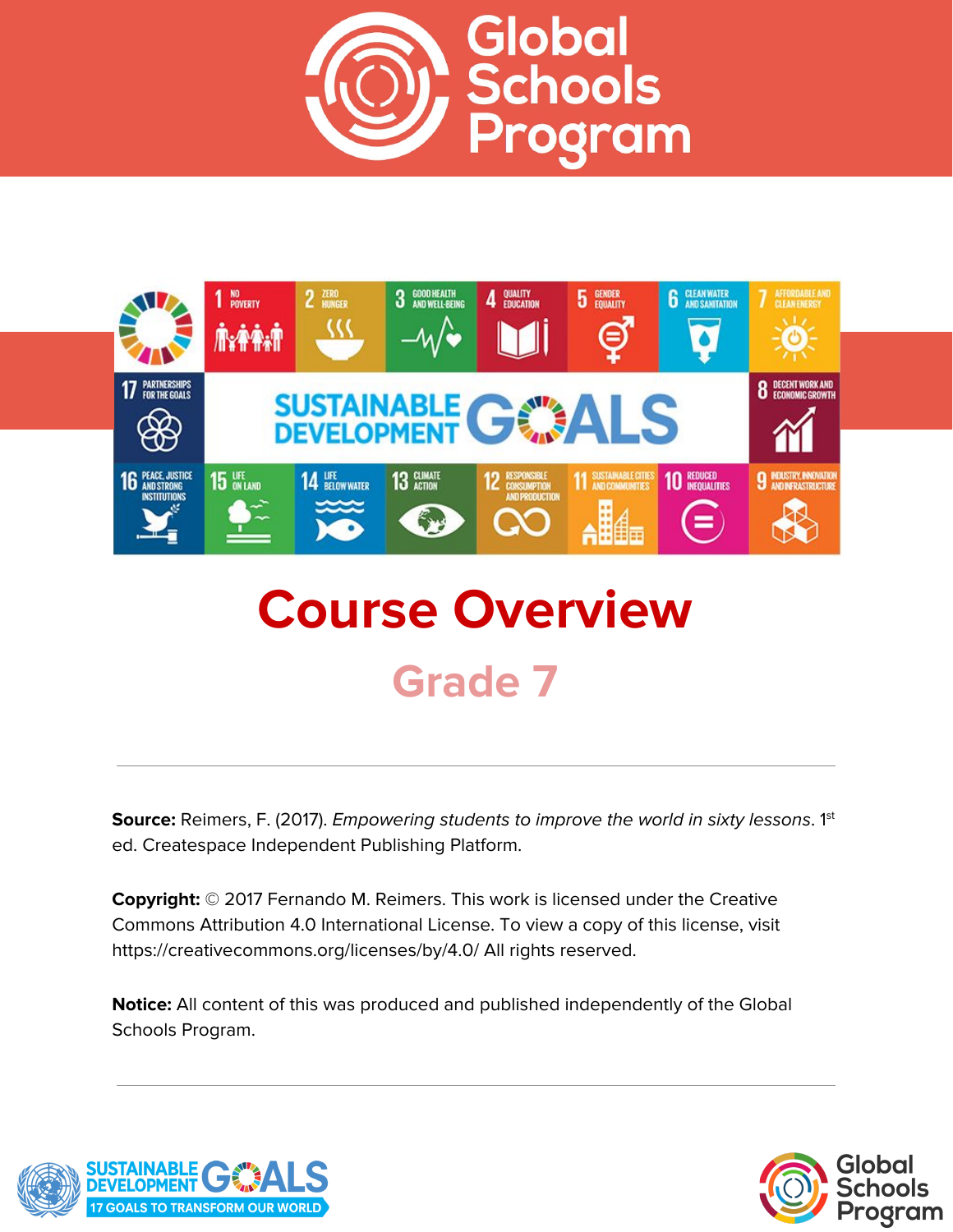



# **Course Overview Grade 7**

**Source:** Reimers, F. (2017). *Empowering students to improve the world in sixty lessons.* 1<sup>st</sup> ed. Createspace Independent Publishing Platform.

**Copyright:** © 2017 Fernando M. Reimers. This work is licensed under the Creative Commons Attribution 4.0 International License. To view a copy of this license, visit https://creativecommons.org/licenses/by/4.0/ All rights reserved.

**Notice:** All content of this was produced and published independently of the Global Schools Program.



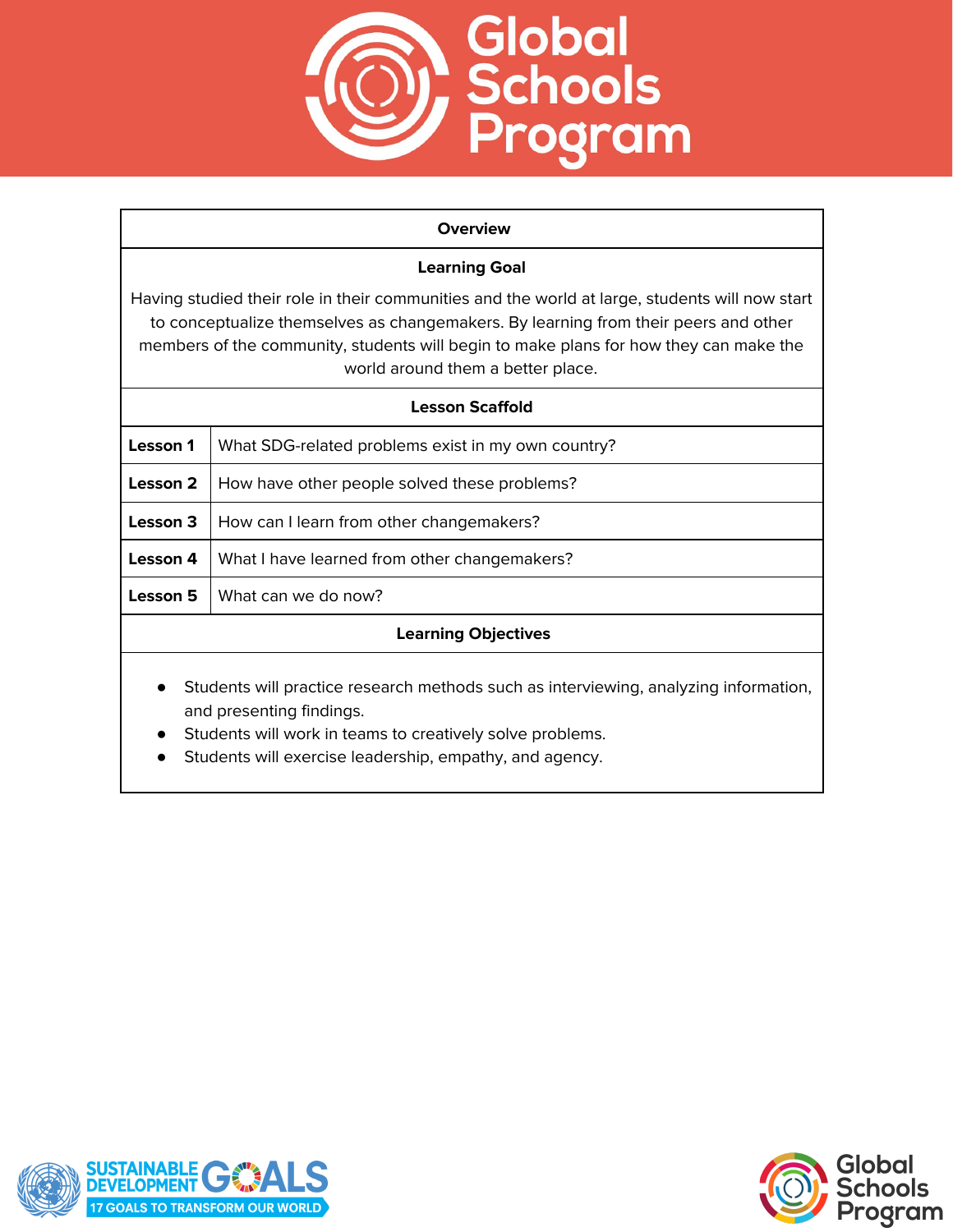

#### **Overview**

## **Learning Goal**

Having studied their role in their communities and the world at large, students will now start to conceptualize themselves as changemakers. By learning from their peers and other members of the community, students will begin to make plans for how they can make the world around them a better place.

| <b>Lesson Scaffold</b>                                                                                                                                                                     |                                                    |
|--------------------------------------------------------------------------------------------------------------------------------------------------------------------------------------------|----------------------------------------------------|
| Lesson 1                                                                                                                                                                                   | What SDG-related problems exist in my own country? |
| Lesson 2                                                                                                                                                                                   | How have other people solved these problems?       |
| Lesson 3                                                                                                                                                                                   | How can I learn from other changemakers?           |
| Lesson 4                                                                                                                                                                                   | What I have learned from other changemakers?       |
| Lesson 5                                                                                                                                                                                   | What can we do now?                                |
| <b>Learning Objectives</b>                                                                                                                                                                 |                                                    |
| Students will practice research methods such as interviewing, analyzing information,<br>$\bullet$<br>and presenting findings.<br>Students will work in teams to creatively solve problems. |                                                    |

● Students will exercise leadership, empathy, and agency.



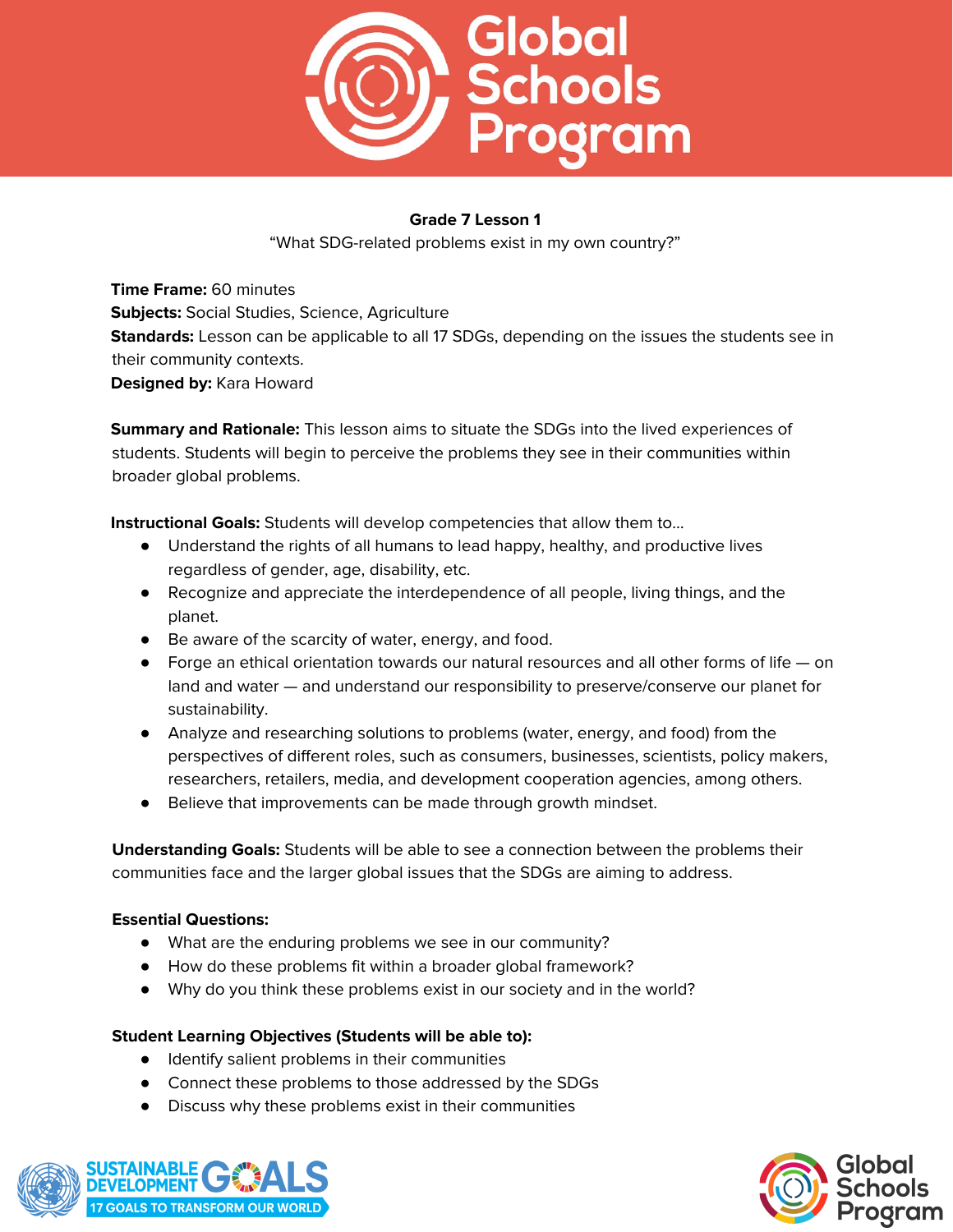

"What SDG-related problems exist in my own country?"

**Time Frame:** 60 minutes **Subjects:** Social Studies, Science, Agriculture **Standards:** Lesson can be applicable to all 17 SDGs, depending on the issues the students see in their community contexts. **Designed by:** Kara Howard

**Summary and Rationale:** This lesson aims to situate the SDGs into the lived experiences of students. Students will begin to perceive the problems they see in their communities within broader global problems.

**Instructional Goals:** Students will develop competencies that allow them to…

- Understand the rights of all humans to lead happy, healthy, and productive lives regardless of gender, age, disability, etc.
- Recognize and appreciate the interdependence of all people, living things, and the planet.
- Be aware of the scarcity of water, energy, and food.
- $\bullet$  Forge an ethical orientation towards our natural resources and all other forms of life  $-$  on land and water — and understand our responsibility to preserve/conserve our planet for sustainability.
- Analyze and researching solutions to problems (water, energy, and food) from the perspectives of different roles, such as consumers, businesses, scientists, policy makers, researchers, retailers, media, and development cooperation agencies, among others.
- Believe that improvements can be made through growth mindset.

**Understanding Goals:** Students will be able to see a connection between the problems their communities face and the larger global issues that the SDGs are aiming to address.

## **Essential Questions:**

- What are the enduring problems we see in our community?
- How do these problems fit within a broader global framework?
- Why do you think these problems exist in our society and in the world?

## **Student Learning Objectives (Students will be able to):**

- Identify salient problems in their communities
- Connect these problems to those addressed by the SDGs
- Discuss why these problems exist in their communities



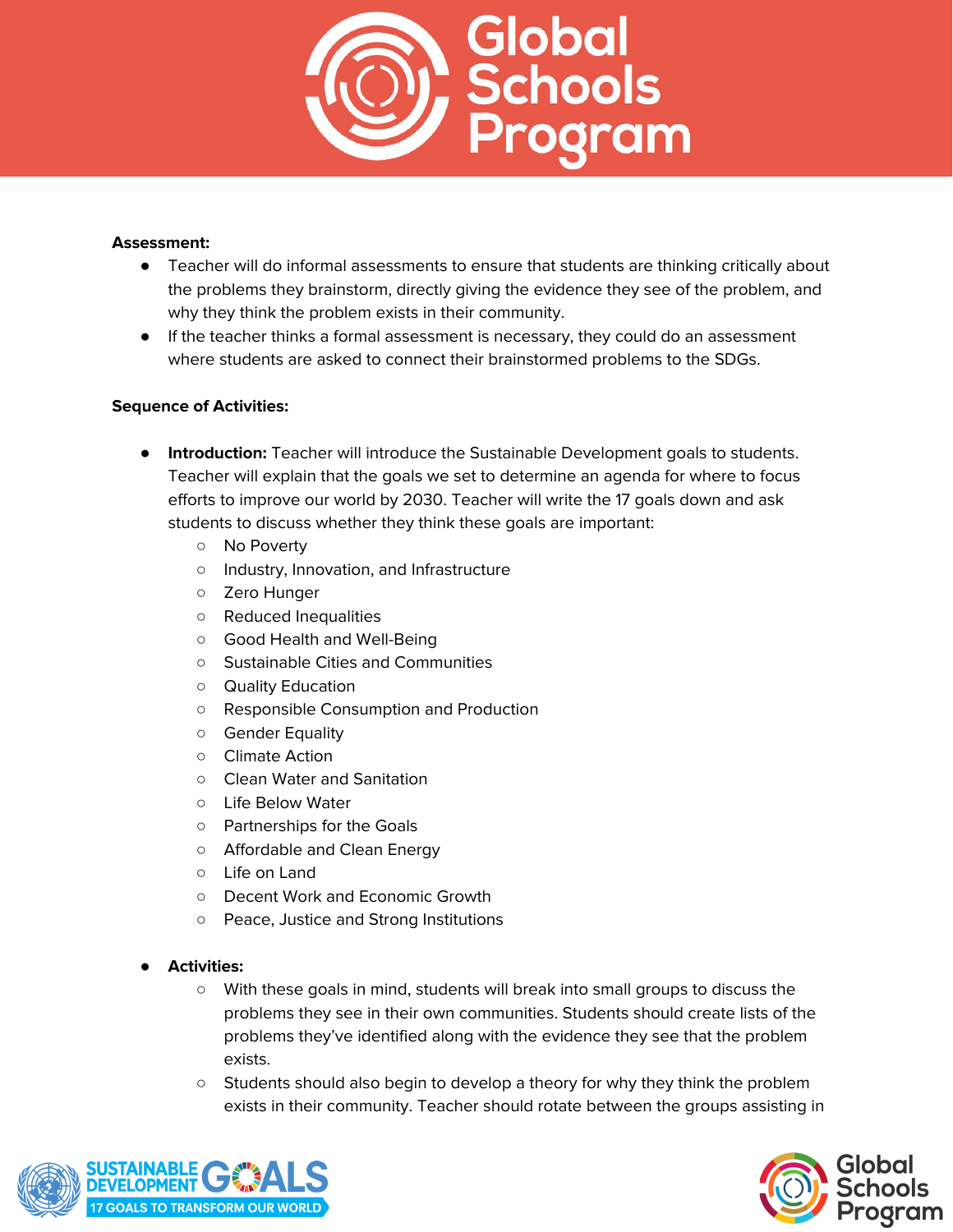

## **Assessment:**

- Teacher will do informal assessments to ensure that students are thinking critically about the problems they brainstorm, directly giving the evidence they see of the problem, and why they think the problem exists in their community.
- If the teacher thinks a formal assessment is necessary, they could do an assessment where students are asked to connect their brainstormed problems to the SDGs.

- **Introduction:** Teacher will introduce the Sustainable Development goals to students. Teacher will explain that the goals we set to determine an agenda for where to focus efforts to improve our world by 2030. Teacher will write the 17 goals down and ask students to discuss whether they think these goals are important:
	- No Poverty
	- Industry, Innovation, and Infrastructure
	- Zero Hunger
	- Reduced Inequalities
	- Good Health and Well-Being
	- Sustainable Cities and Communities
	- Quality Education
	- Responsible Consumption and Production
	- Gender Equality
	- Climate Action
	- Clean Water and Sanitation
	- Life Below Water
	- Partnerships for the Goals
	- Affordable and Clean Energy
	- Life on Land
	- Decent Work and Economic Growth
	- Peace, Justice and Strong Institutions
- **Activities:**
	- With these goals in mind, students will break into small groups to discuss the problems they see in their own communities. Students should create lists of the problems they've identified along with the evidence they see that the problem exists.
	- Students should also begin to develop a theory for why they think the problem exists in their community. Teacher should rotate between the groups assisting in



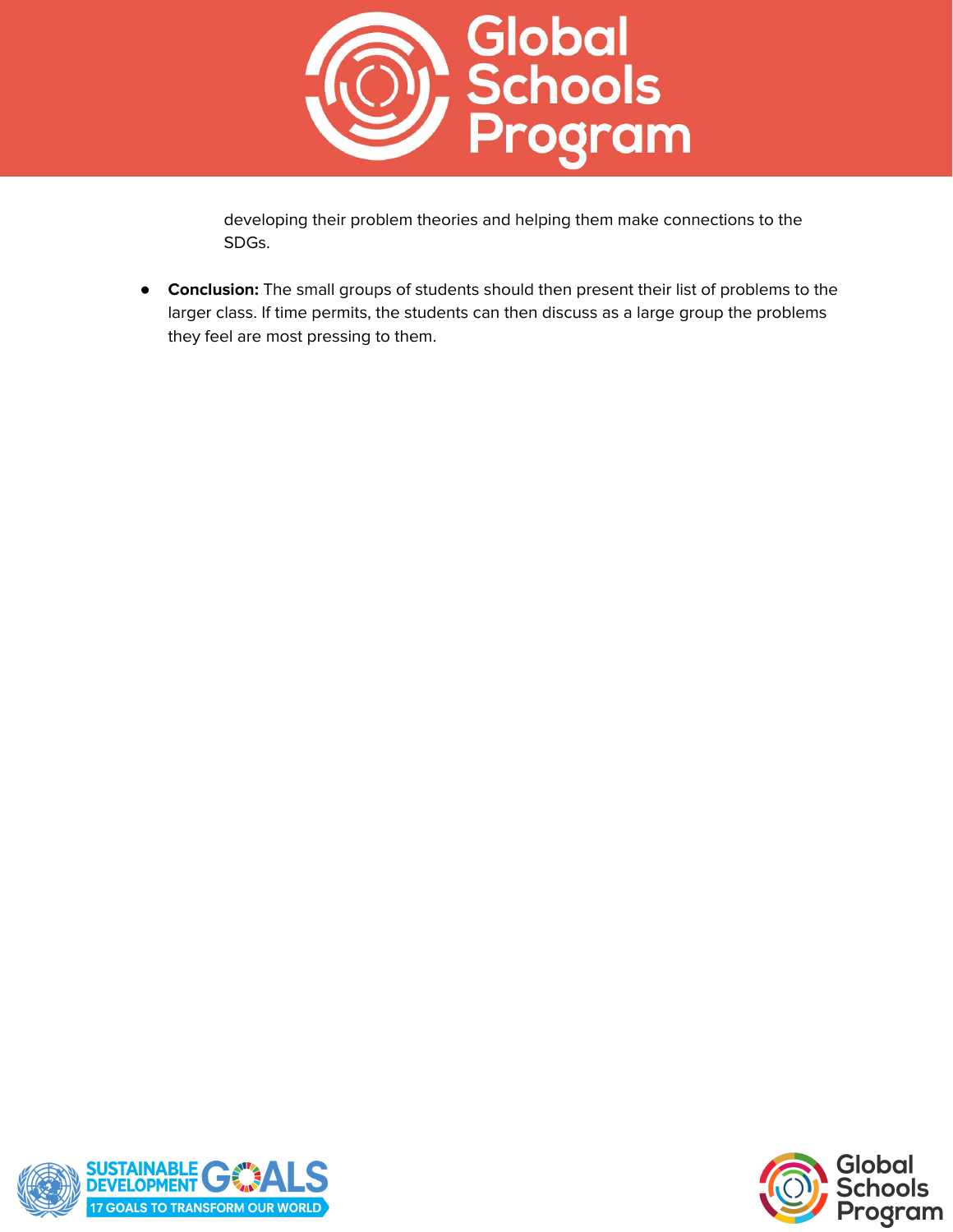

developing their problem theories and helping them make connections to the SDGs.

**Conclusion:** The small groups of students should then present their list of problems to the larger class. If time permits, the students can then discuss as a large group the problems they feel are most pressing to them.



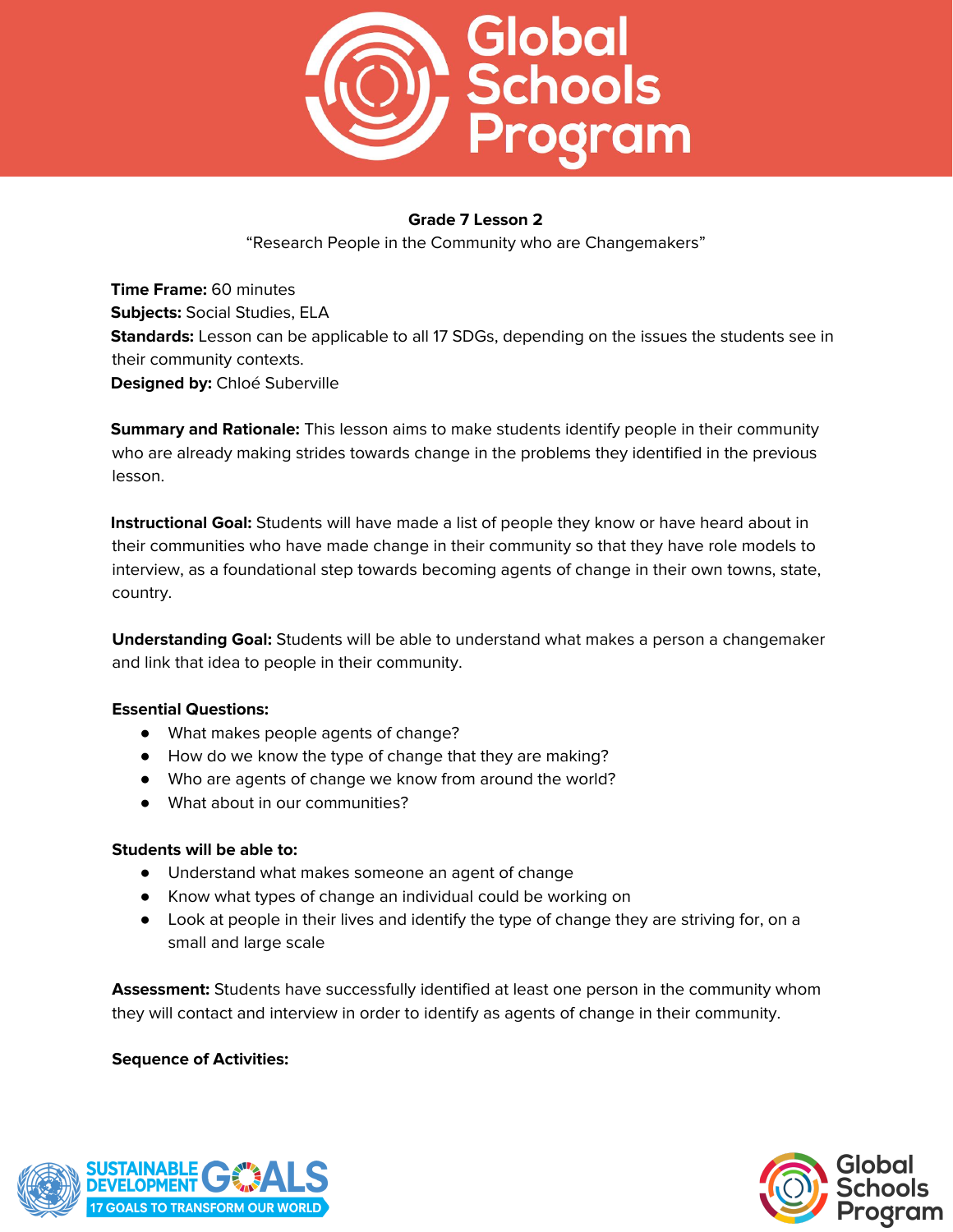

"Research People in the Community who are Changemakers"

**Time Frame:** 60 minutes **Subjects:** Social Studies, ELA **Standards:** Lesson can be applicable to all 17 SDGs, depending on the issues the students see in their community contexts. **Designed by:** Chloé Suberville

**Summary and Rationale:** This lesson aims to make students identify people in their community who are already making strides towards change in the problems they identified in the previous lesson.

**Instructional Goal:** Students will have made a list of people they know or have heard about in their communities who have made change in their community so that they have role models to interview, as a foundational step towards becoming agents of change in their own towns, state, country.

**Understanding Goal:** Students will be able to understand what makes a person a changemaker and link that idea to people in their community.

## **Essential Questions:**

- What makes people agents of change?
- How do we know the type of change that they are making?
- Who are agents of change we know from around the world?
- What about in our communities?

## **Students will be able to:**

- Understand what makes someone an agent of change
- Know what types of change an individual could be working on
- Look at people in their lives and identify the type of change they are striving for, on a small and large scale

**Assessment:** Students have successfully identified at least one person in the community whom they will contact and interview in order to identify as agents of change in their community.



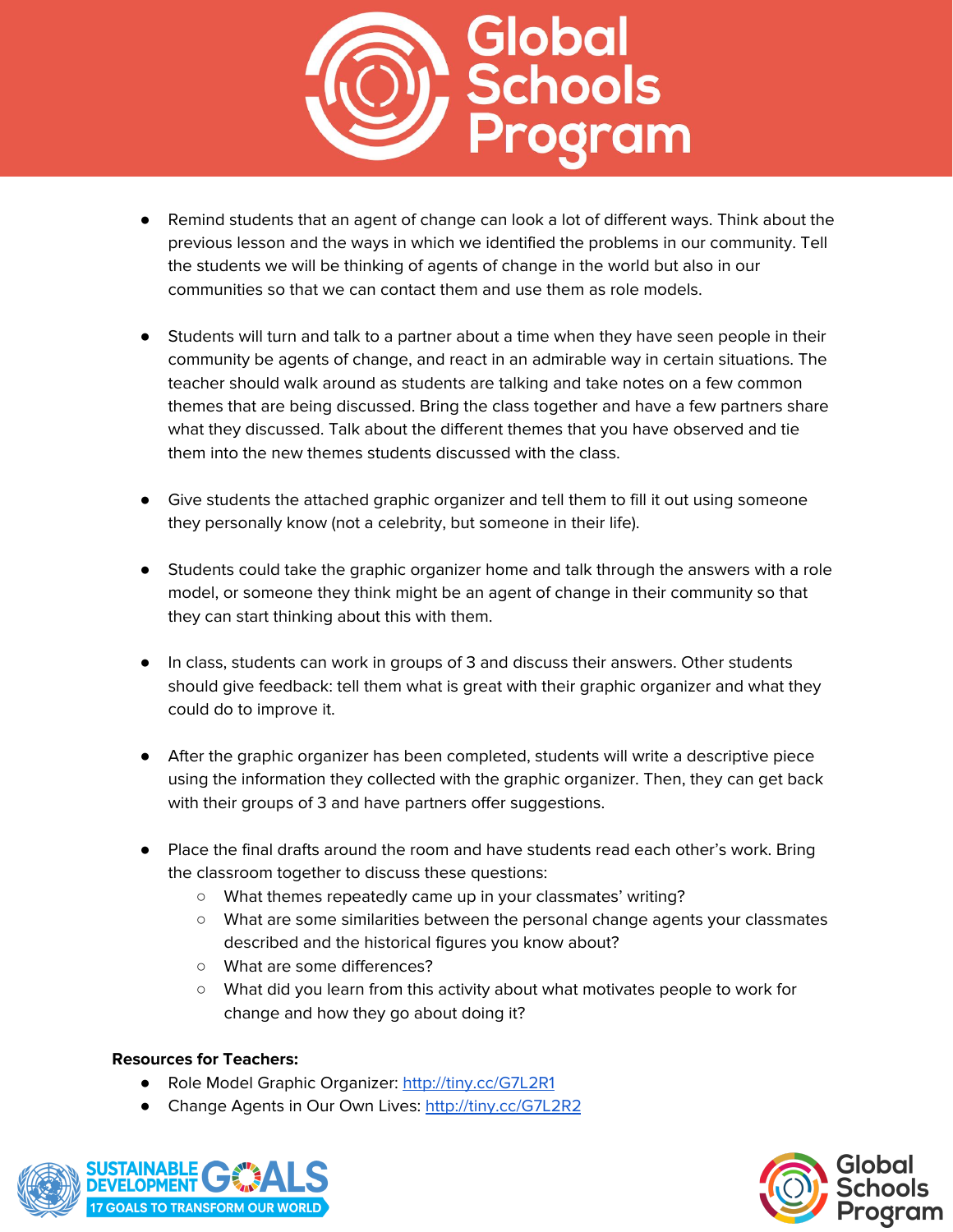

- Remind students that an agent of change can look a lot of different ways. Think about the previous lesson and the ways in which we identified the problems in our community. Tell the students we will be thinking of agents of change in the world but also in our communities so that we can contact them and use them as role models.
- Students will turn and talk to a partner about a time when they have seen people in their community be agents of change, and react in an admirable way in certain situations. The teacher should walk around as students are talking and take notes on a few common themes that are being discussed. Bring the class together and have a few partners share what they discussed. Talk about the different themes that you have observed and tie them into the new themes students discussed with the class.
- Give students the attached graphic organizer and tell them to fill it out using someone they personally know (not a celebrity, but someone in their life).
- Students could take the graphic organizer home and talk through the answers with a role model, or someone they think might be an agent of change in their community so that they can start thinking about this with them.
- In class, students can work in groups of 3 and discuss their answers. Other students should give feedback: tell them what is great with their graphic organizer and what they could do to improve it.
- After the graphic organizer has been completed, students will write a descriptive piece using the information they collected with the graphic organizer. Then, they can get back with their groups of 3 and have partners offer suggestions.
- Place the final drafts around the room and have students read each other's work. Bring the classroom together to discuss these questions:
	- What themes repeatedly came up in your classmates' writing?
	- What are some similarities between the personal change agents your classmates described and the historical figures you know about?
	- What are some differences?
	- What did you learn from this activity about what motivates people to work for change and how they go about doing it?

## **Resources for Teachers:**

- Role Model Graphic Organizer: <http://tiny.cc/G7L2R1>
- Change Agents in Our Own Lives: <http://tiny.cc/G7L2R2>



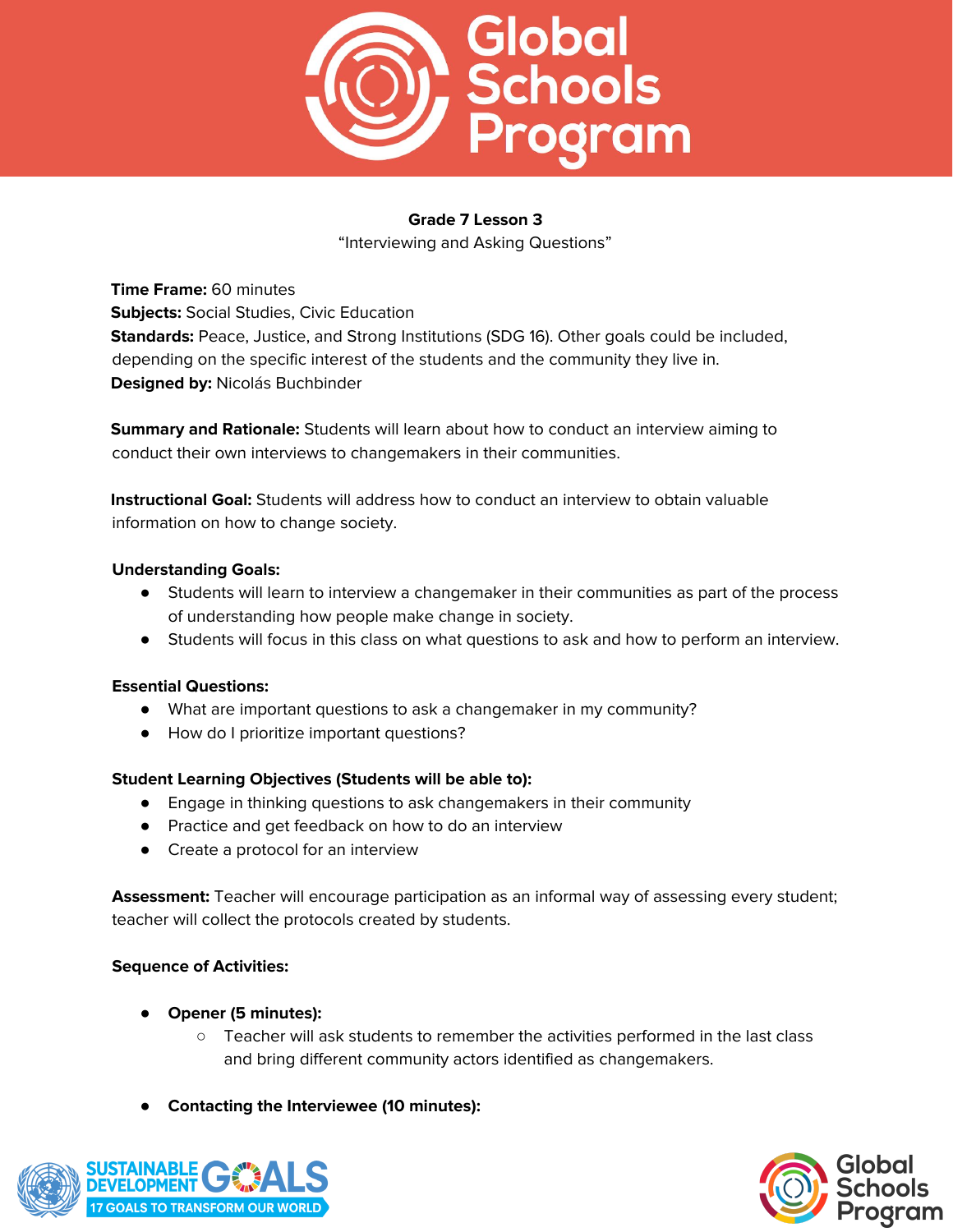

"Interviewing and Asking Questions"

**Time Frame:** 60 minutes **Subjects:** Social Studies, Civic Education **Standards:** Peace, Justice, and Strong Institutions (SDG 16). Other goals could be included, depending on the specific interest of the students and the community they live in. **Designed by:** Nicolás Buchbinder

**Summary and Rationale:** Students will learn about how to conduct an interview aiming to conduct their own interviews to changemakers in their communities.

**Instructional Goal:** Students will address how to conduct an interview to obtain valuable information on how to change society.

## **Understanding Goals:**

- Students will learn to interview a changemaker in their communities as part of the process of understanding how people make change in society.
- Students will focus in this class on what questions to ask and how to perform an interview.

## **Essential Questions:**

- What are important questions to ask a changemaker in my community?
- How do I prioritize important questions?

## **Student Learning Objectives (Students will be able to):**

- Engage in thinking questions to ask changemakers in their community
- Practice and get feedback on how to do an interview
- Create a protocol for an interview

**Assessment:** Teacher will encourage participation as an informal way of assessing every student; teacher will collect the protocols created by students.

- **Opener (5 minutes):**
	- Teacher will ask students to remember the activities performed in the last class and bring different community actors identified as changemakers.
- **Contacting the Interviewee (10 minutes):**



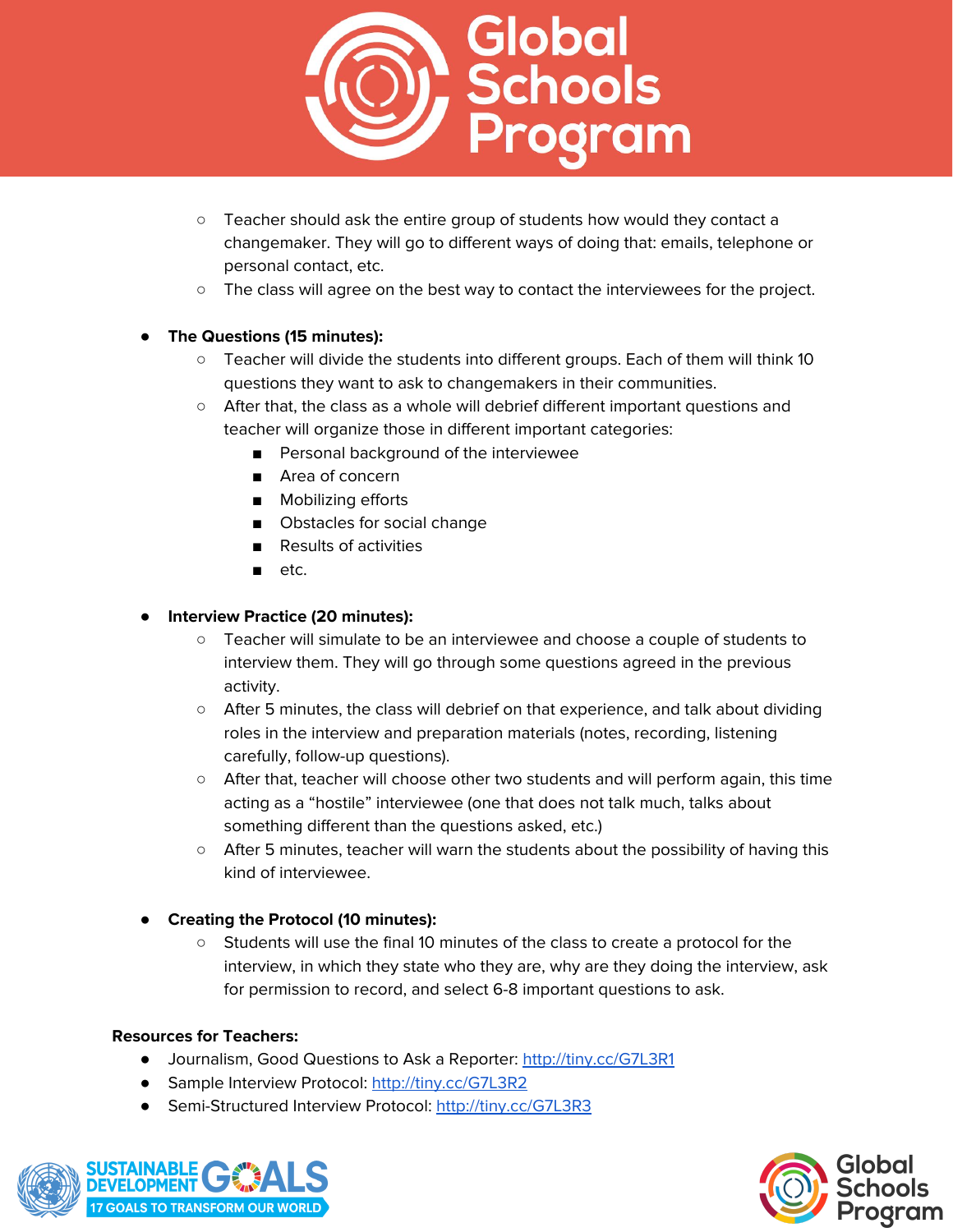

- Teacher should ask the entire group of students how would they contact a changemaker. They will go to different ways of doing that: emails, telephone or personal contact, etc.
- The class will agree on the best way to contact the interviewees for the project.

## ● **The Questions (15 minutes):**

- Teacher will divide the students into different groups. Each of them will think 10 questions they want to ask to changemakers in their communities.
- After that, the class as a whole will debrief different important questions and teacher will organize those in different important categories:
	- Personal background of the interviewee
	- Area of concern
	- Mobilizing efforts
	- Obstacles for social change
	- Results of activities
	- etc.

## ● **Interview Practice (20 minutes):**

- Teacher will simulate to be an interviewee and choose a couple of students to interview them. They will go through some questions agreed in the previous activity.
- After 5 minutes, the class will debrief on that experience, and talk about dividing roles in the interview and preparation materials (notes, recording, listening carefully, follow-up questions).
- After that, teacher will choose other two students and will perform again, this time acting as a "hostile" interviewee (one that does not talk much, talks about something different than the questions asked, etc.)
- After 5 minutes, teacher will warn the students about the possibility of having this kind of interviewee.

# ● **Creating the Protocol (10 minutes):**

○ Students will use the final 10 minutes of the class to create a protocol for the interview, in which they state who they are, why are they doing the interview, ask for permission to record, and select 6-8 important questions to ask.

## **Resources for Teachers:**

- Journalism, Good Questions to Ask a Reporter: <http://tiny.cc/G7L3R1>
- Sample Interview Protocol: <http://tiny.cc/G7L3R2>
- Semi-Structured Interview Protocol: <http://tiny.cc/G7L3R3>



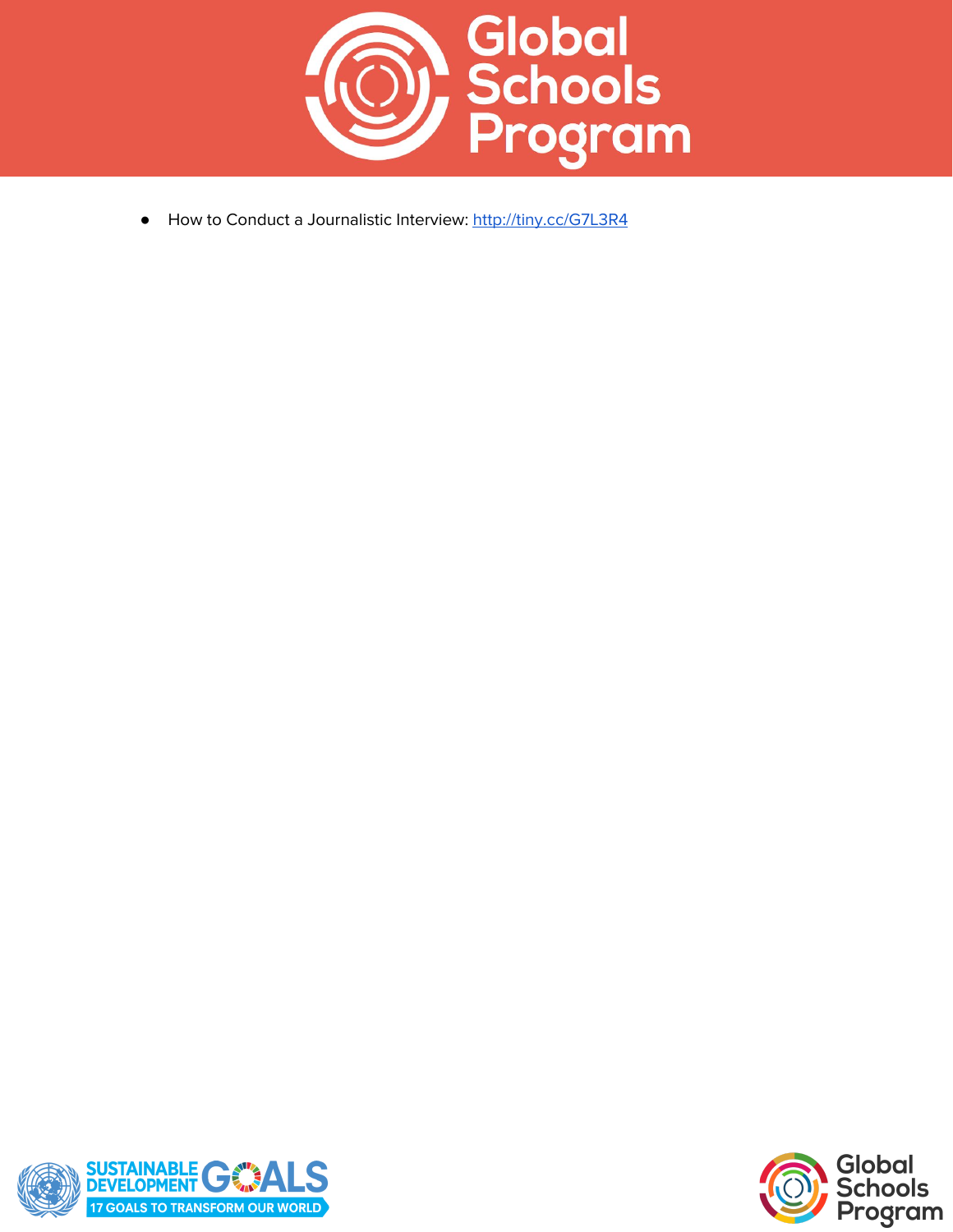

 $\bullet$ How to Conduct a Journalistic Interview: htt[p://](http://tiny.cc/G7L3R4)tiny.cc/G7L3R4



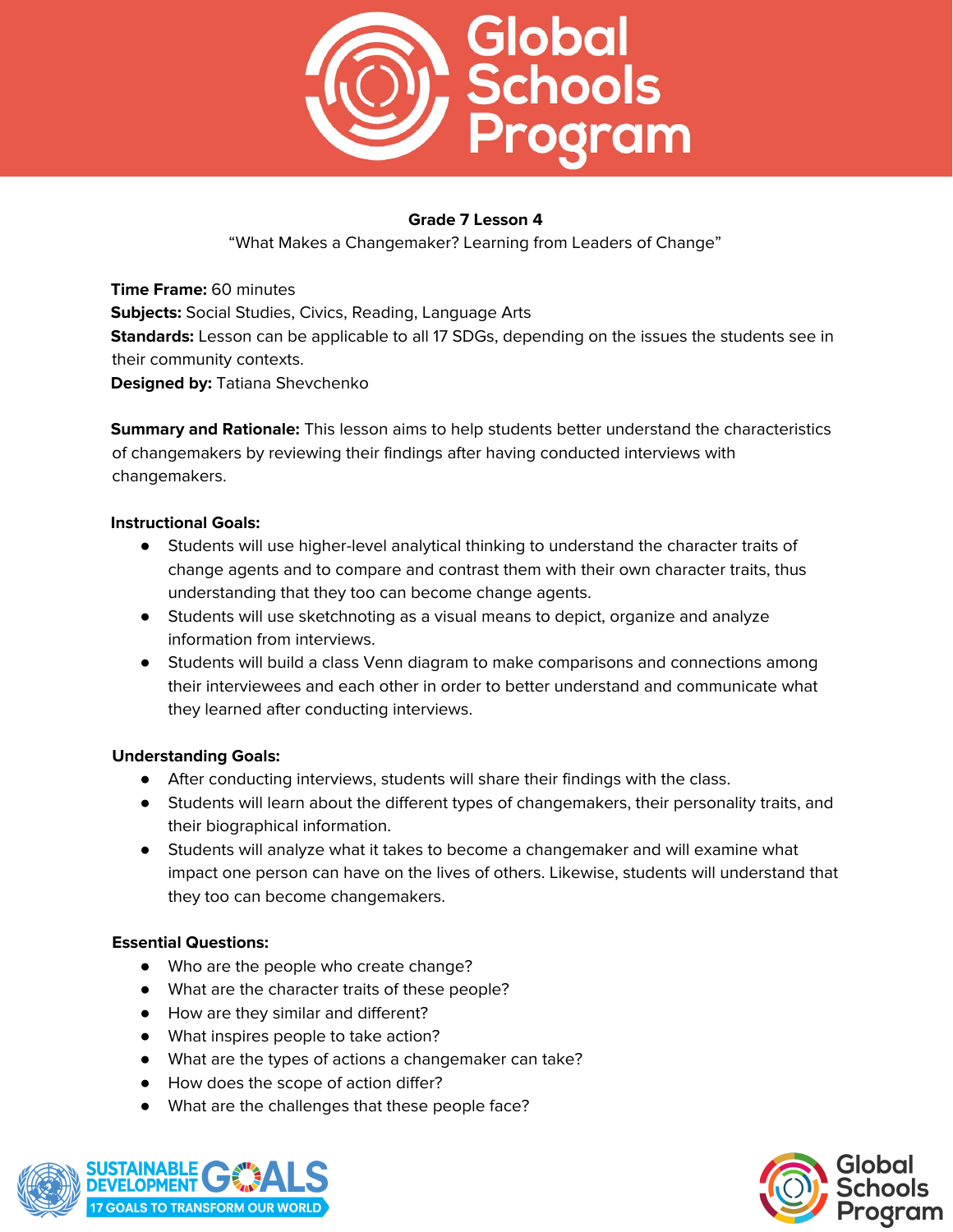

"What Makes a Changemaker? Learning from Leaders of Change"

**Time Frame:** 60 minutes **Subjects:** Social Studies, Civics, Reading, Language Arts **Standards:** Lesson can be applicable to all 17 SDGs, depending on the issues the students see in their community contexts. **Designed by:** Tatiana Shevchenko

**Summary and Rationale:** This lesson aims to help students better understand the characteristics of changemakers by reviewing their findings after having conducted interviews with changemakers.

## **Instructional Goals:**

- Students will use higher-level analytical thinking to understand the character traits of change agents and to compare and contrast them with their own character traits, thus understanding that they too can become change agents.
- Students will use sketchnoting as a visual means to depict, organize and analyze information from interviews.
- Students will build a class Venn diagram to make comparisons and connections among their interviewees and each other in order to better understand and communicate what they learned after conducting interviews.

## **Understanding Goals:**

- After conducting interviews, students will share their findings with the class.
- Students will learn about the different types of changemakers, their personality traits, and their biographical information.
- Students will analyze what it takes to become a changemaker and will examine what impact one person can have on the lives of others. Likewise, students will understand that they too can become changemakers.

# **Essential Questions:**

- Who are the people who create change?
- What are the character traits of these people?
- How are they similar and different?
- What inspires people to take action?
- What are the types of actions a changemaker can take?
- How does the scope of action differ?
- What are the challenges that these people face?



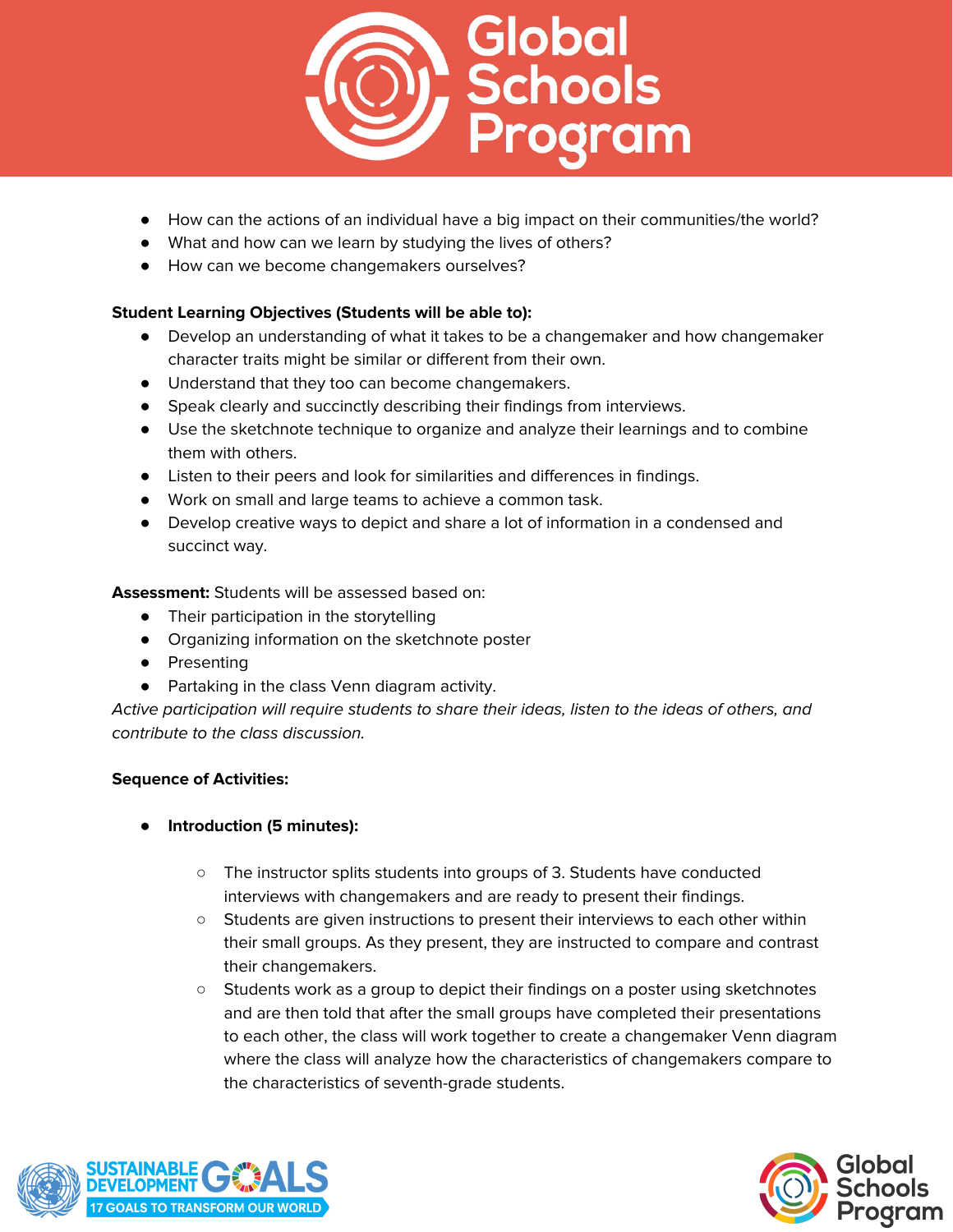

- How can the actions of an individual have a big impact on their communities/the world?
- What and how can we learn by studying the lives of others?
- How can we become changemakers ourselves?

# **Student Learning Objectives (Students will be able to):**

- Develop an understanding of what it takes to be a changemaker and how changemaker character traits might be similar or different from their own.
- Understand that they too can become changemakers.
- Speak clearly and succinctly describing their findings from interviews.
- Use the sketchnote technique to organize and analyze their learnings and to combine them with others.
- Listen to their peers and look for similarities and differences in findings.
- Work on small and large teams to achieve a common task.
- Develop creative ways to depict and share a lot of information in a condensed and succinct way.

**Assessment:** Students will be assessed based on:

- Their participation in the storytelling
- Organizing information on the sketchnote poster
- Presenting
- Partaking in the class Venn diagram activity.

Active participation will require students to share their ideas, listen to the ideas of others, and contribute to the class discussion.

- **Introduction (5 minutes):**
	- The instructor splits students into groups of 3. Students have conducted interviews with changemakers and are ready to present their findings.
	- Students are given instructions to present their interviews to each other within their small groups. As they present, they are instructed to compare and contrast their changemakers.
	- Students work as a group to depict their findings on a poster using sketchnotes and are then told that after the small groups have completed their presentations to each other, the class will work together to create a changemaker Venn diagram where the class will analyze how the characteristics of changemakers compare to the characteristics of seventh-grade students.



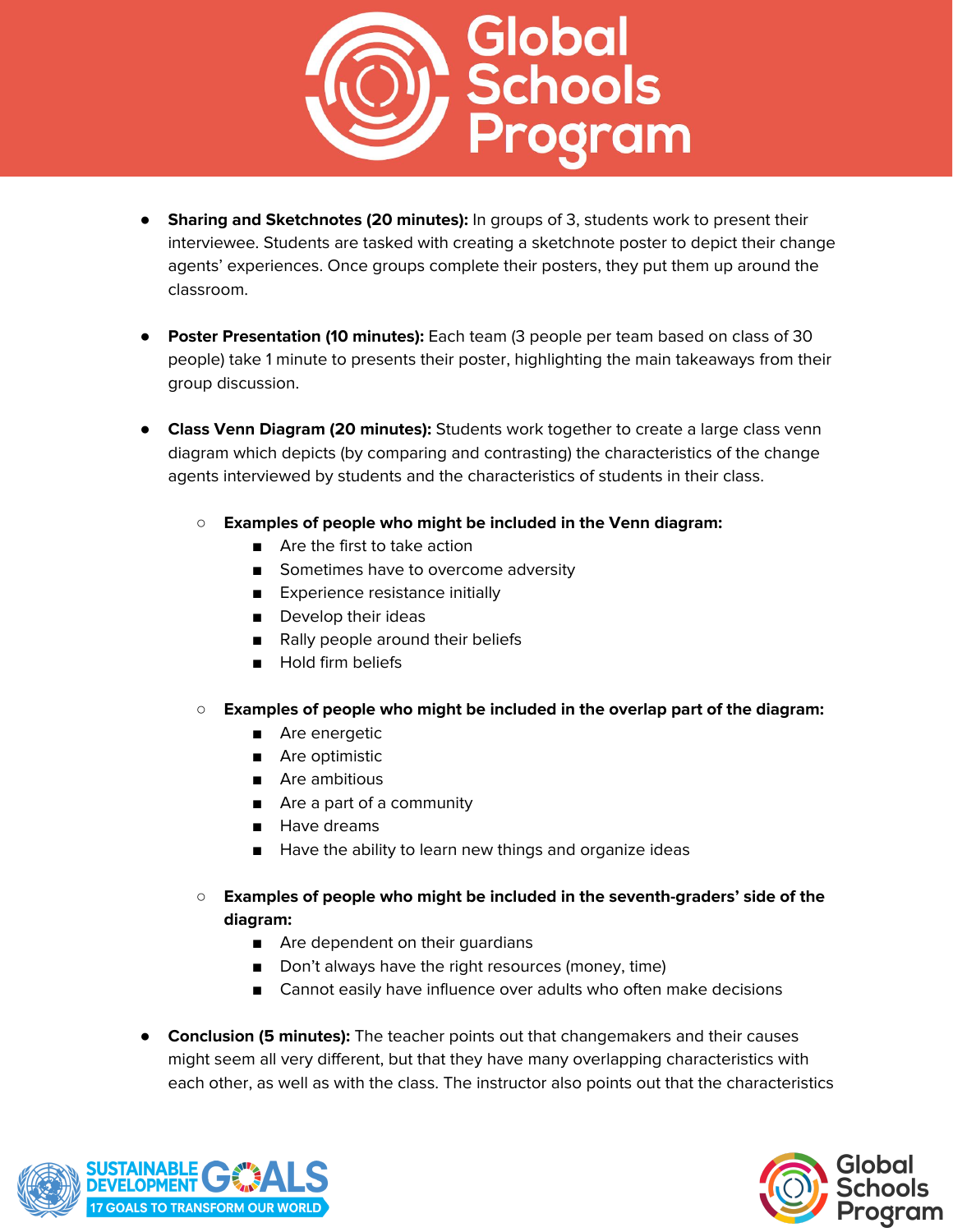

- **Sharing and Sketchnotes (20 minutes):** In groups of 3, students work to present their interviewee. Students are tasked with creating a sketchnote poster to depict their change agents' experiences. Once groups complete their posters, they put them up around the classroom.
- **Poster Presentation (10 minutes):** Each team (3 people per team based on class of 30 people) take 1 minute to presents their poster, highlighting the main takeaways from their group discussion.
- **Class Venn Diagram (20 minutes):** Students work together to create a large class venn diagram which depicts (by comparing and contrasting) the characteristics of the change agents interviewed by students and the characteristics of students in their class.
	- **○ Examples of people who might be included in the Venn diagram:**
		- Are the first to take action
		- Sometimes have to overcome adversity
		- Experience resistance initially
		- Develop their ideas
		- Rally people around their beliefs
		- Hold firm beliefs
	- **○ Examples of people who might be included in the overlap part of the diagram:**
		- Are energetic
		- Are optimistic
		- Are ambitious
		- Are a part of a community
		- Have dreams
		- Have the ability to learn new things and organize ideas
	- **○ Examples of people who might be included in the seventh-graders' side of the diagram:**
		- Are dependent on their quardians
		- Don't always have the right resources (money, time)
		- Cannot easily have influence over adults who often make decisions
- **Conclusion (5 minutes):** The teacher points out that changemakers and their causes might seem all very different, but that they have many overlapping characteristics with each other, as well as with the class. The instructor also points out that the characteristics



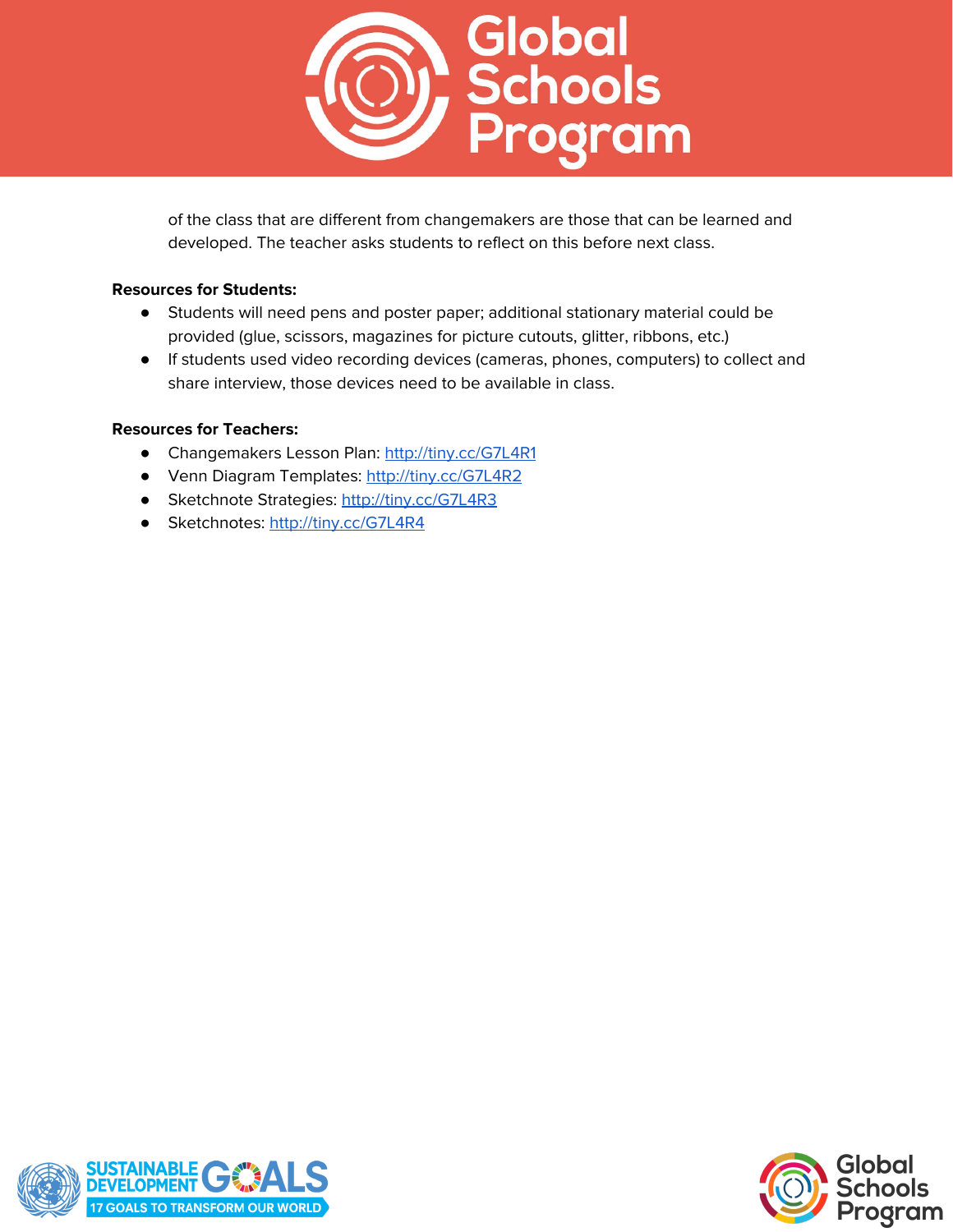

of the class that are different from changemakers are those that can be learned and developed. The teacher asks students to reflect on this before next class.

#### **Resources for Students:**

- Students will need pens and poster paper; additional stationary material could be provided (glue, scissors, magazines for picture cutouts, glitter, ribbons, etc.)
- If students used video recording devices (cameras, phones, computers) to collect and share interview, those devices need to be available in class.

## **Resources for Teachers:**

- Changemakers Lesson Plan: <http://tiny.cc/G7L4R1>
- Venn Diagram Templates: <http://tiny.cc/G7L4R2>
- Sketchnote Strategies: <http://tiny.cc/G7L4R3>
- Sketchnotes: <http://tiny.cc/G7L4R4>



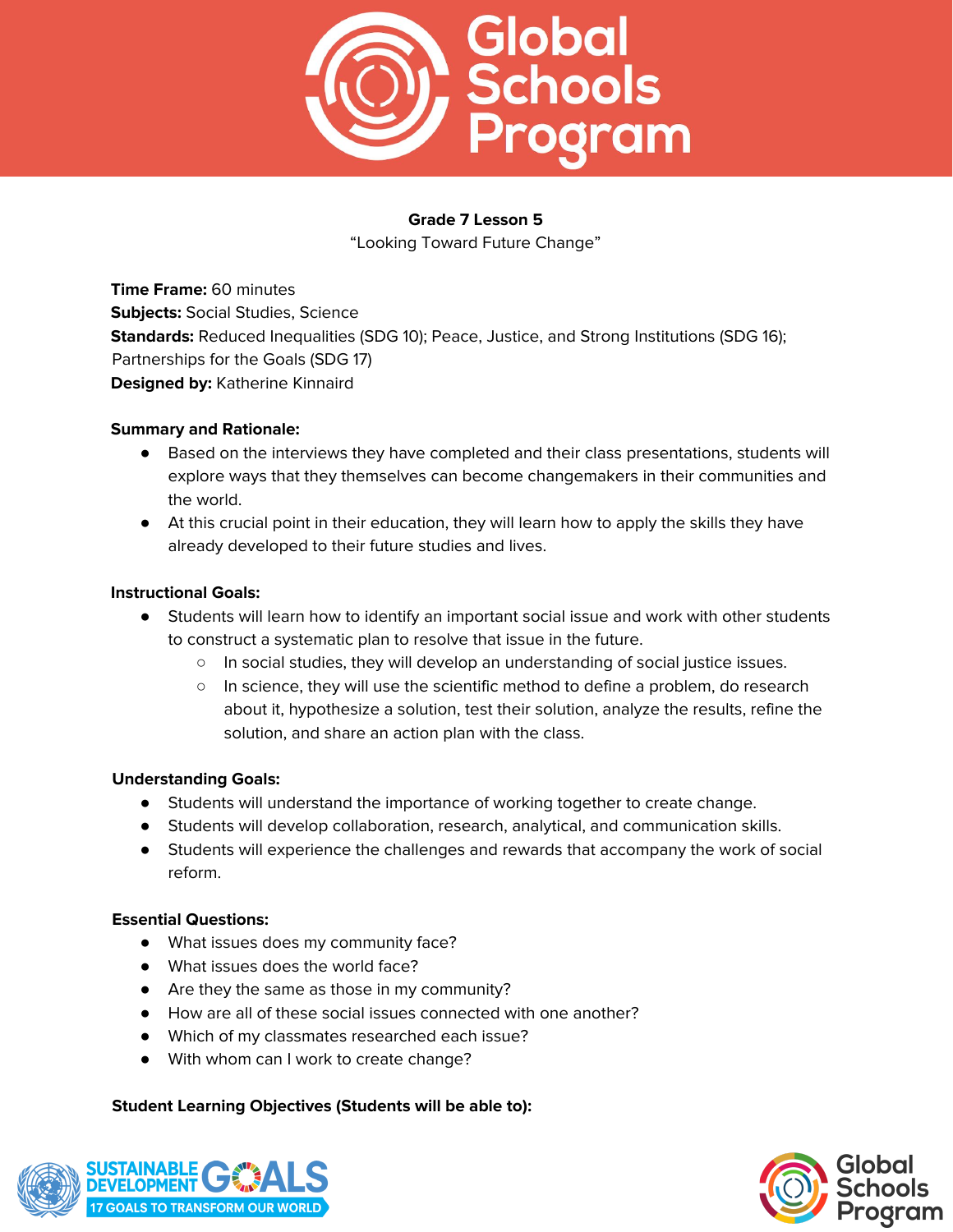

"Looking Toward Future Change"

**Time Frame:** 60 minutes **Subjects:** Social Studies, Science **Standards:** Reduced Inequalities (SDG 10); Peace, Justice, and Strong Institutions (SDG 16); Partnerships for the Goals (SDG 17) **Designed by:** Katherine Kinnaird

#### **Summary and Rationale:**

- Based on the interviews they have completed and their class presentations, students will explore ways that they themselves can become changemakers in their communities and the world.
- At this crucial point in their education, they will learn how to apply the skills they have already developed to their future studies and lives.

#### **Instructional Goals:**

- Students will learn how to identify an important social issue and work with other students to construct a systematic plan to resolve that issue in the future.
	- In social studies, they will develop an understanding of social justice issues.
	- In science, they will use the scientific method to define a problem, do research about it, hypothesize a solution, test their solution, analyze the results, refine the solution, and share an action plan with the class.

## **Understanding Goals:**

- Students will understand the importance of working together to create change.
- Students will develop collaboration, research, analytical, and communication skills.
- Students will experience the challenges and rewards that accompany the work of social reform.

#### **Essential Questions:**

- What issues does my community face?
- What issues does the world face?
- Are they the same as those in my community?
- How are all of these social issues connected with one another?
- Which of my classmates researched each issue?
- With whom can I work to create change?

#### **Student Learning Objectives (Students will be able to):**



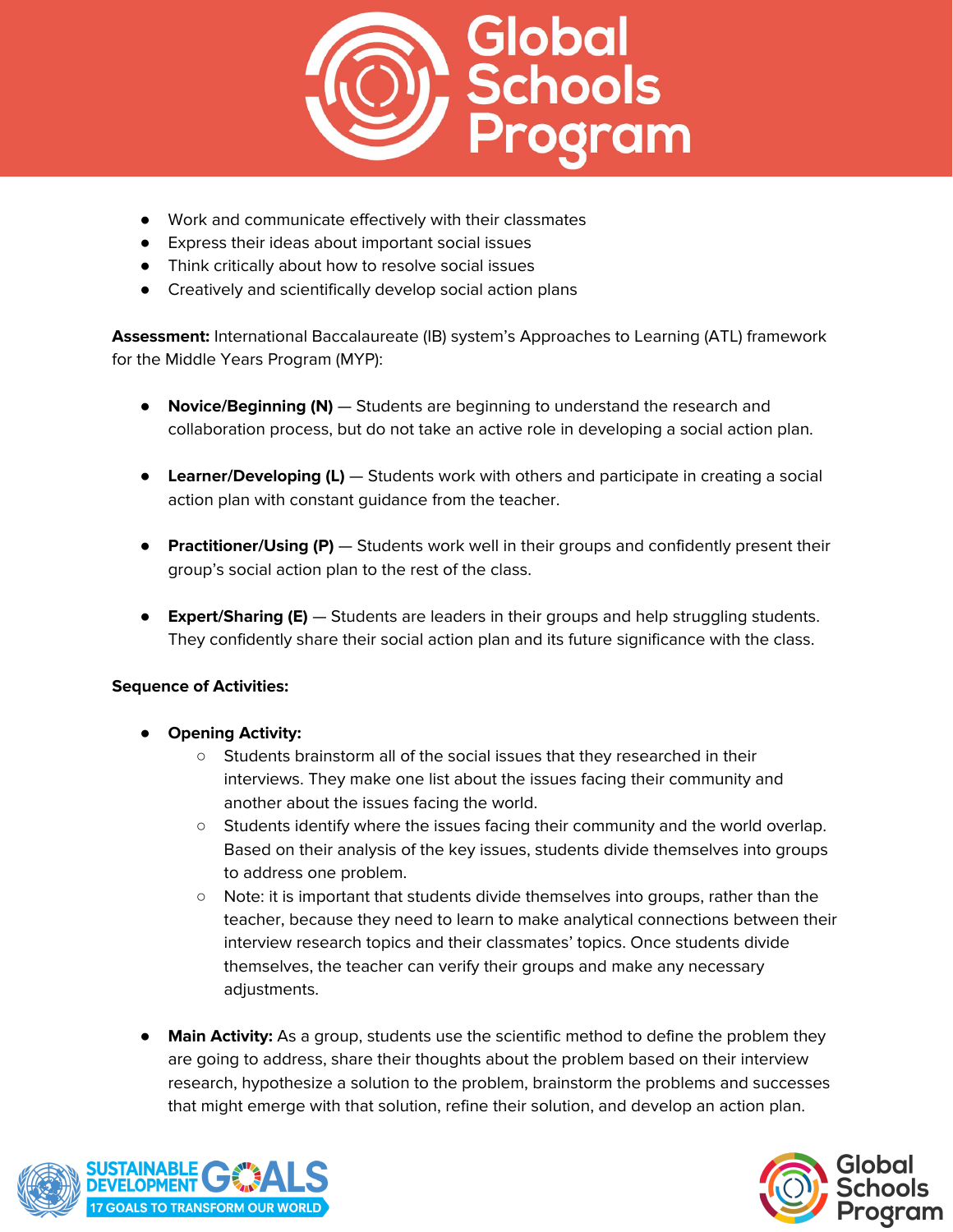

- Work and communicate effectively with their classmates
- Express their ideas about important social issues
- Think critically about how to resolve social issues
- Creatively and scientifically develop social action plans

**Assessment:** International Baccalaureate (IB) system's Approaches to Learning (ATL) framework for the Middle Years Program (MYP):

- **Novice/Beginning (N)** Students are beginning to understand the research and collaboration process, but do not take an active role in developing a social action plan.
- **Learner/Developing (L)** Students work with others and participate in creating a social action plan with constant guidance from the teacher.
- **Practitioner/Using (P)** Students work well in their groups and confidently present their group's social action plan to the rest of the class.
- **Expert/Sharing (E)** Students are leaders in their groups and help struggling students. They confidently share their social action plan and its future significance with the class.

- **Opening Activity:** 
	- Students brainstorm all of the social issues that they researched in their interviews. They make one list about the issues facing their community and another about the issues facing the world.
	- Students identify where the issues facing their community and the world overlap. Based on their analysis of the key issues, students divide themselves into groups to address one problem.
	- Note: it is important that students divide themselves into groups, rather than the teacher, because they need to learn to make analytical connections between their interview research topics and their classmates' topics. Once students divide themselves, the teacher can verify their groups and make any necessary adjustments.
- **Main Activity:** As a group, students use the scientific method to define the problem they are going to address, share their thoughts about the problem based on their interview research, hypothesize a solution to the problem, brainstorm the problems and successes that might emerge with that solution, refine their solution, and develop an action plan.